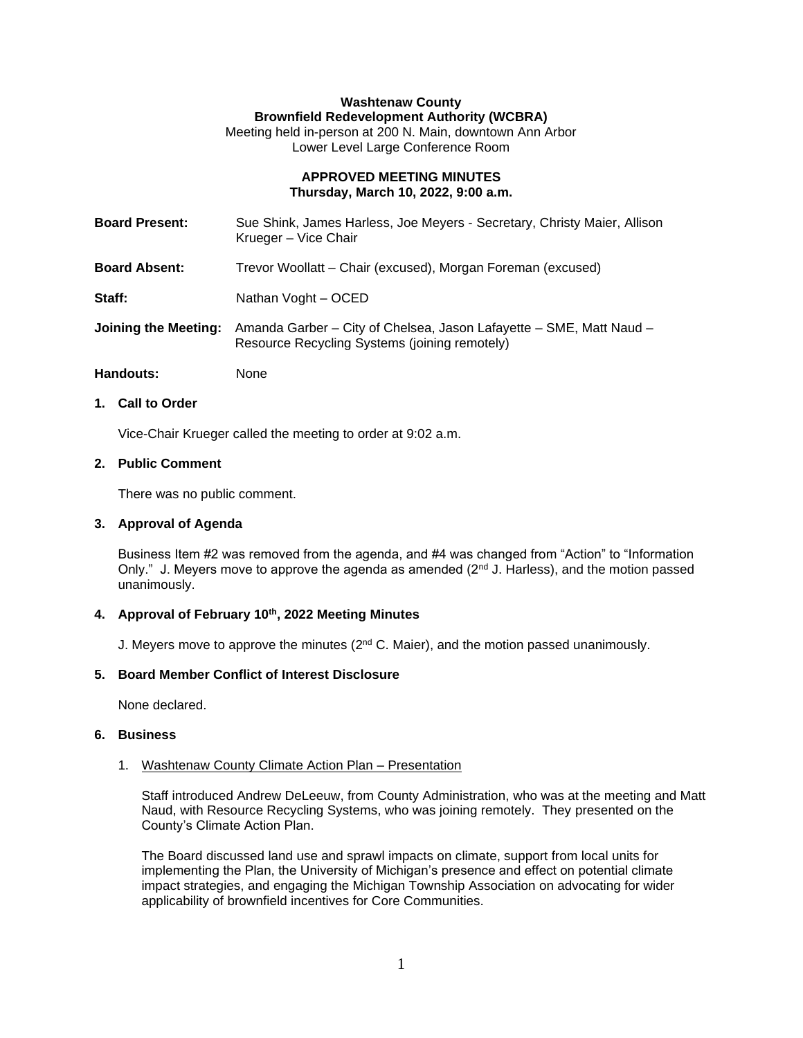# **Washtenaw County Brownfield Redevelopment Authority (WCBRA)**

Meeting held in-person at 200 N. Main, downtown Ann Arbor Lower Level Large Conference Room

### **APPROVED MEETING MINUTES Thursday, March 10, 2022, 9:00 a.m.**

| <b>Board Present:</b> | Sue Shink, James Harless, Joe Meyers - Secretary, Christy Maier, Allison<br>Krueger – Vice Chair                     |
|-----------------------|----------------------------------------------------------------------------------------------------------------------|
| <b>Board Absent:</b>  | Trevor Woollatt – Chair (excused), Morgan Foreman (excused)                                                          |
| Staff:                | Nathan Voght - OCED                                                                                                  |
| Joining the Meeting:  | Amanda Garber - City of Chelsea, Jason Lafayette - SME, Matt Naud -<br>Resource Recycling Systems (joining remotely) |

Handouts: None

# **1. Call to Order**

Vice-Chair Krueger called the meeting to order at 9:02 a.m.

# **2. Public Comment**

There was no public comment.

# **3. Approval of Agenda**

Business Item #2 was removed from the agenda, and #4 was changed from "Action" to "Information Only." J. Meyers move to approve the agenda as amended ( $2<sup>nd</sup>$  J. Harless), and the motion passed unanimously.

# **4. Approval of February 10th , 2022 Meeting Minutes**

J. Meyers move to approve the minutes (2<sup>nd</sup> C. Maier), and the motion passed unanimously.

### **5. Board Member Conflict of Interest Disclosure**

None declared.

# **6. Business**

### 1. Washtenaw County Climate Action Plan – Presentation

Staff introduced Andrew DeLeeuw, from County Administration, who was at the meeting and Matt Naud, with Resource Recycling Systems, who was joining remotely. They presented on the County's Climate Action Plan.

The Board discussed land use and sprawl impacts on climate, support from local units for implementing the Plan, the University of Michigan's presence and effect on potential climate impact strategies, and engaging the Michigan Township Association on advocating for wider applicability of brownfield incentives for Core Communities.